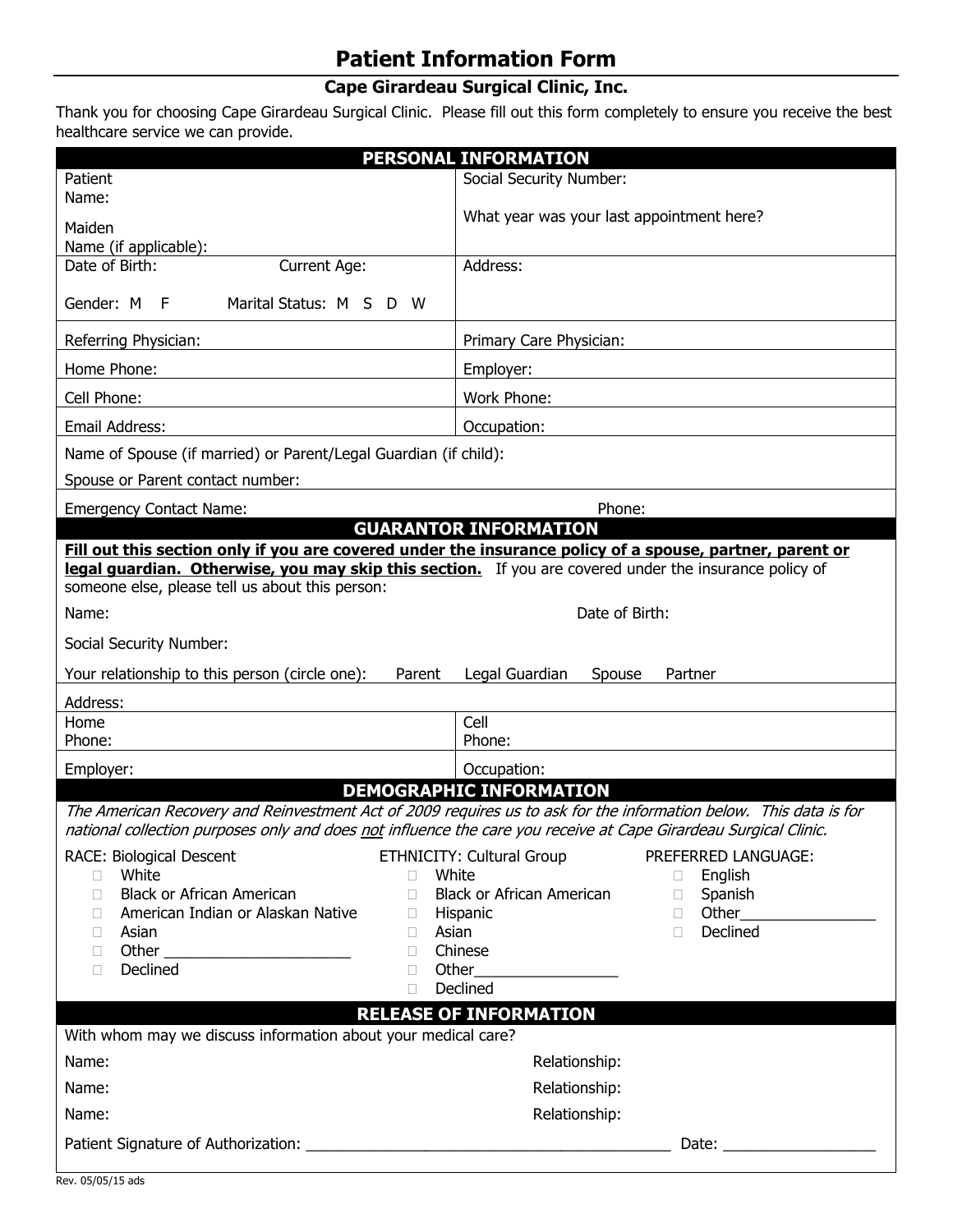# **Patient Information Form**

# **Cape Girardeau Surgical Clinic, Inc.**

Thank you for choosing Cape Girardeau Surgical Clinic. Please fill out this form completely to ensure you receive the best healthcare service we can provide.

| <b>PERSONAL INFORMATION</b>                                                                                                                               |                                                                                                                   |  |  |  |
|-----------------------------------------------------------------------------------------------------------------------------------------------------------|-------------------------------------------------------------------------------------------------------------------|--|--|--|
| Patient                                                                                                                                                   | Social Security Number:                                                                                           |  |  |  |
| Name:                                                                                                                                                     |                                                                                                                   |  |  |  |
| Maiden                                                                                                                                                    | What year was your last appointment here?                                                                         |  |  |  |
| Name (if applicable):                                                                                                                                     |                                                                                                                   |  |  |  |
| Date of Birth:<br><b>Current Age:</b>                                                                                                                     | Address:                                                                                                          |  |  |  |
| Marital Status: M S<br>Gender: M<br>F<br>D<br>- W                                                                                                         |                                                                                                                   |  |  |  |
| Referring Physician:                                                                                                                                      | Primary Care Physician:                                                                                           |  |  |  |
| Home Phone:                                                                                                                                               | Employer:                                                                                                         |  |  |  |
| Cell Phone:                                                                                                                                               | Work Phone:                                                                                                       |  |  |  |
| <b>Email Address:</b>                                                                                                                                     | Occupation:                                                                                                       |  |  |  |
| Name of Spouse (if married) or Parent/Legal Guardian (if child):                                                                                          |                                                                                                                   |  |  |  |
| Spouse or Parent contact number:                                                                                                                          |                                                                                                                   |  |  |  |
| <b>Emergency Contact Name:</b>                                                                                                                            | Phone:                                                                                                            |  |  |  |
|                                                                                                                                                           | <b>GUARANTOR INFORMATION</b>                                                                                      |  |  |  |
| legal guardian. Otherwise, you may skip this section. If you are covered under the insurance policy of<br>someone else, please tell us about this person: | Fill out this section only if you are covered under the insurance policy of a spouse, partner, parent or          |  |  |  |
| Name:                                                                                                                                                     | Date of Birth:                                                                                                    |  |  |  |
| Social Security Number:                                                                                                                                   |                                                                                                                   |  |  |  |
| Your relationship to this person (circle one):<br>Parent                                                                                                  | Legal Guardian<br>Partner<br>Spouse                                                                               |  |  |  |
| Address:                                                                                                                                                  |                                                                                                                   |  |  |  |
| Home                                                                                                                                                      | Cell                                                                                                              |  |  |  |
| Phone:                                                                                                                                                    | Phone:                                                                                                            |  |  |  |
| Employer:                                                                                                                                                 | Occupation:<br><b>DEMOGRAPHIC INFORMATION</b>                                                                     |  |  |  |
| national collection purposes only and does not influence the care you receive at Cape Girardeau Surgical Clinic.                                          | The American Recovery and Reinvestment Act of 2009 requires us to ask for the information below. This data is for |  |  |  |
|                                                                                                                                                           |                                                                                                                   |  |  |  |
| RACE: Biological Descent<br>White<br>П.<br>$\Box$                                                                                                         | ETHNICITY: Cultural Group<br>PREFERRED LANGUAGE:<br>White<br>English<br>u                                         |  |  |  |
| <b>Black or African American</b><br>П.<br>П                                                                                                               | <b>Black or African American</b><br>Spanish<br>$\Box$                                                             |  |  |  |
| American Indian or Alaskan Native<br>П<br>П.                                                                                                              | Hispanic<br>$\Box$                                                                                                |  |  |  |
| Asian<br>Asian<br>O.<br>П.                                                                                                                                | Declined<br>$\Box$                                                                                                |  |  |  |
| $\Box$<br>$\Box$<br>Declined<br>П<br>П.                                                                                                                   | Chinese<br>Other                                                                                                  |  |  |  |
| $\Box$                                                                                                                                                    | Declined                                                                                                          |  |  |  |
| <b>RELEASE OF INFORMATION</b><br>With whom may we discuss information about your medical care?                                                            |                                                                                                                   |  |  |  |
| Name:                                                                                                                                                     | Relationship:                                                                                                     |  |  |  |
| Name:                                                                                                                                                     | Relationship:                                                                                                     |  |  |  |
| Name:                                                                                                                                                     | Relationship:                                                                                                     |  |  |  |
|                                                                                                                                                           |                                                                                                                   |  |  |  |
|                                                                                                                                                           |                                                                                                                   |  |  |  |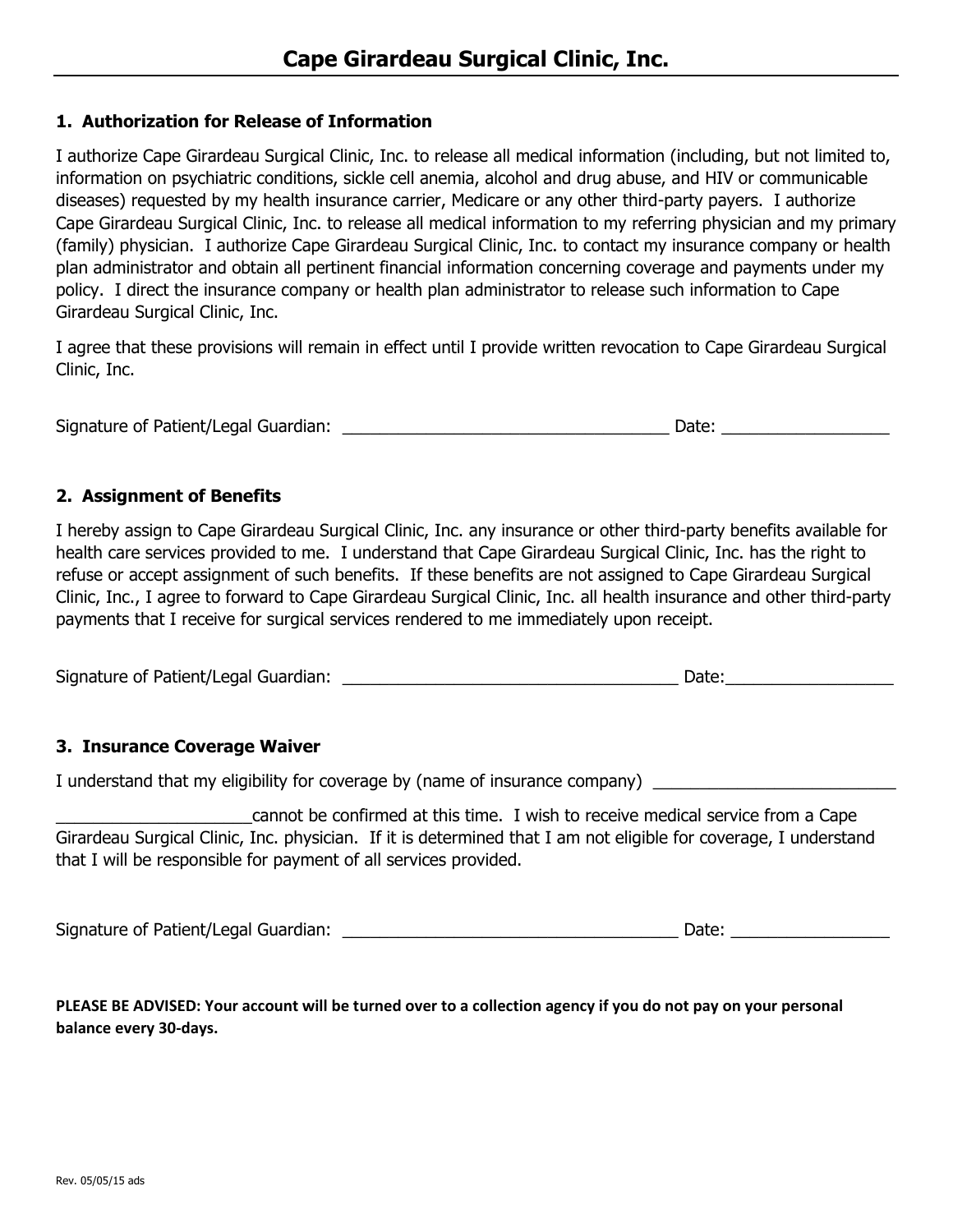### **1. Authorization for Release of Information**

I authorize Cape Girardeau Surgical Clinic, Inc. to release all medical information (including, but not limited to, information on psychiatric conditions, sickle cell anemia, alcohol and drug abuse, and HIV or communicable diseases) requested by my health insurance carrier, Medicare or any other third-party payers. I authorize Cape Girardeau Surgical Clinic, Inc. to release all medical information to my referring physician and my primary (family) physician. I authorize Cape Girardeau Surgical Clinic, Inc. to contact my insurance company or health plan administrator and obtain all pertinent financial information concerning coverage and payments under my policy. I direct the insurance company or health plan administrator to release such information to Cape Girardeau Surgical Clinic, Inc.

I agree that these provisions will remain in effect until I provide written revocation to Cape Girardeau Surgical Clinic, Inc.

Signature of Patient/Legal Guardian: \_\_\_\_\_\_\_\_\_\_\_\_\_\_\_\_\_\_\_\_\_\_\_\_\_\_\_\_\_\_\_\_\_\_\_ Date: \_\_\_\_\_\_\_\_\_\_\_\_\_\_\_\_\_\_

### **2. Assignment of Benefits**

I hereby assign to Cape Girardeau Surgical Clinic, Inc. any insurance or other third-party benefits available for health care services provided to me. I understand that Cape Girardeau Surgical Clinic, Inc. has the right to refuse or accept assignment of such benefits. If these benefits are not assigned to Cape Girardeau Surgical Clinic, Inc., I agree to forward to Cape Girardeau Surgical Clinic, Inc. all health insurance and other third-party payments that I receive for surgical services rendered to me immediately upon receipt.

Signature of Patient/Legal Guardian: \_\_\_\_\_\_\_\_\_\_\_\_\_\_\_\_\_\_\_\_\_\_\_\_\_\_\_\_\_\_\_\_\_\_\_\_ Date:\_\_\_\_\_\_\_\_\_\_\_\_\_\_\_\_\_\_

### **3. Insurance Coverage Waiver**

I understand that my eligibility for coverage by (name of insurance company) \_\_\_\_\_\_\_\_\_\_\_\_\_\_\_\_\_\_\_\_\_\_\_\_\_\_\_\_\_\_\_\_

\_\_\_\_\_\_\_\_\_\_\_\_\_\_\_\_\_\_\_\_\_cannot be confirmed at this time. I wish to receive medical service from a Cape Girardeau Surgical Clinic, Inc. physician. If it is determined that I am not eligible for coverage, I understand that I will be responsible for payment of all services provided.

Signature of Patient/Legal Guardian: \_\_\_\_\_\_\_\_\_\_\_\_\_\_\_\_\_\_\_\_\_\_\_\_\_\_\_\_\_\_\_\_\_\_\_\_ Date: \_\_\_\_\_\_\_\_\_\_\_\_\_\_\_\_\_

**PLEASE BE ADVISED: Your account will be turned over to a collection agency if you do not pay on your personal balance every 30-days.**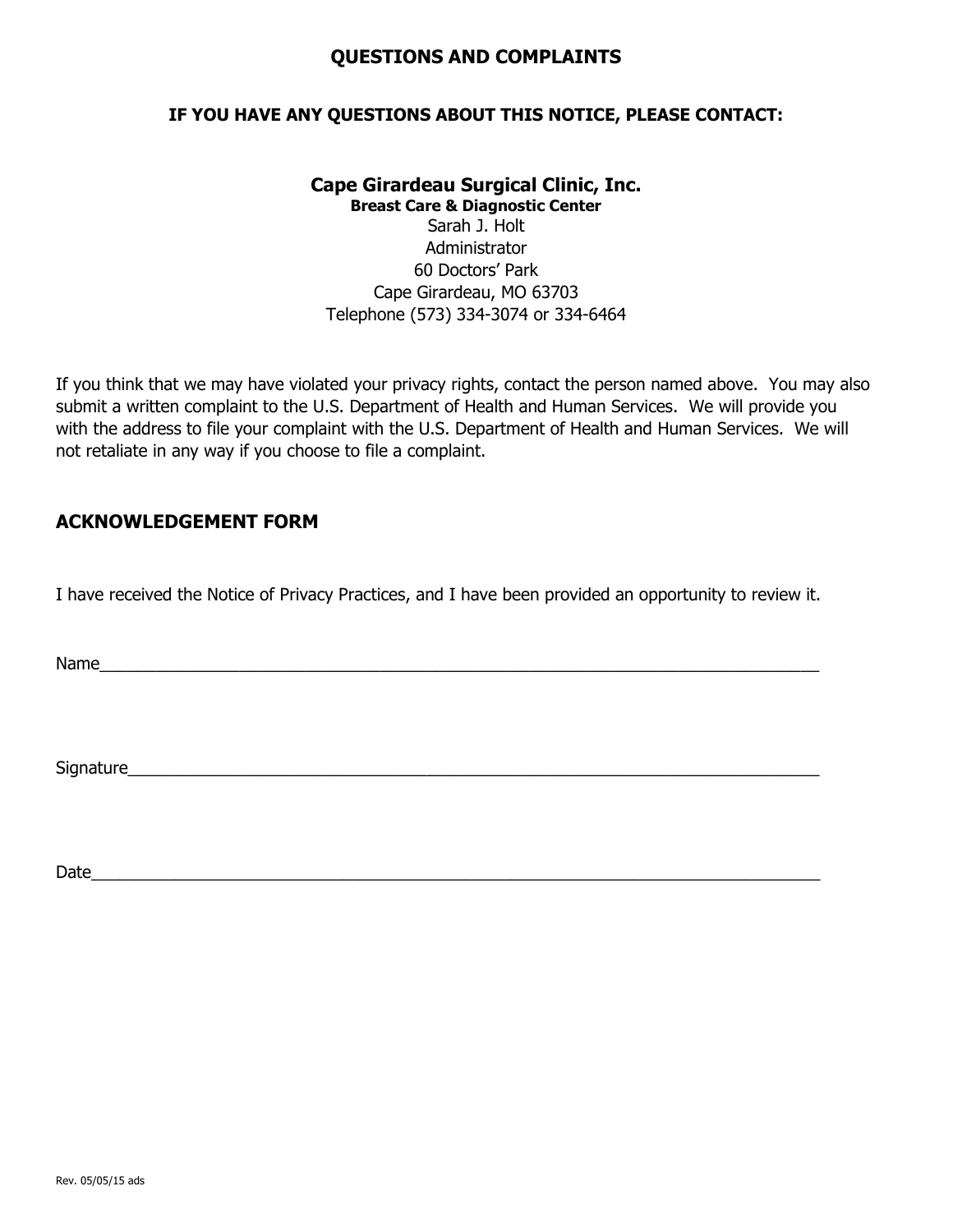### **QUESTIONS AND COMPLAINTS**

### **IF YOU HAVE ANY QUESTIONS ABOUT THIS NOTICE, PLEASE CONTACT:**

# **Cape Girardeau Surgical Clinic, Inc.**

**Breast Care & Diagnostic Center**

Sarah J. Holt Administrator 60 Doctors' Park Cape Girardeau, MO 63703 Telephone (573) 334-3074 or 334-6464

If you think that we may have violated your privacy rights, contact the person named above. You may also submit a written complaint to the U.S. Department of Health and Human Services. We will provide you with the address to file your complaint with the U.S. Department of Health and Human Services. We will not retaliate in any way if you choose to file a complaint.

### **ACKNOWLEDGEMENT FORM**

I have received the Notice of Privacy Practices, and I have been provided an opportunity to review it.

Name\_\_\_\_\_\_\_\_\_\_\_\_\_\_\_\_\_\_\_\_\_\_\_\_\_\_\_\_\_\_\_\_\_\_\_\_\_\_\_\_\_\_\_\_\_\_\_\_\_\_\_\_\_\_\_\_\_\_\_\_\_\_\_\_\_\_\_\_\_\_\_\_\_\_\_\_\_

Signature

Date\_\_\_\_\_\_\_\_\_\_\_\_\_\_\_\_\_\_\_\_\_\_\_\_\_\_\_\_\_\_\_\_\_\_\_\_\_\_\_\_\_\_\_\_\_\_\_\_\_\_\_\_\_\_\_\_\_\_\_\_\_\_\_\_\_\_\_\_\_\_\_\_\_\_\_\_\_\_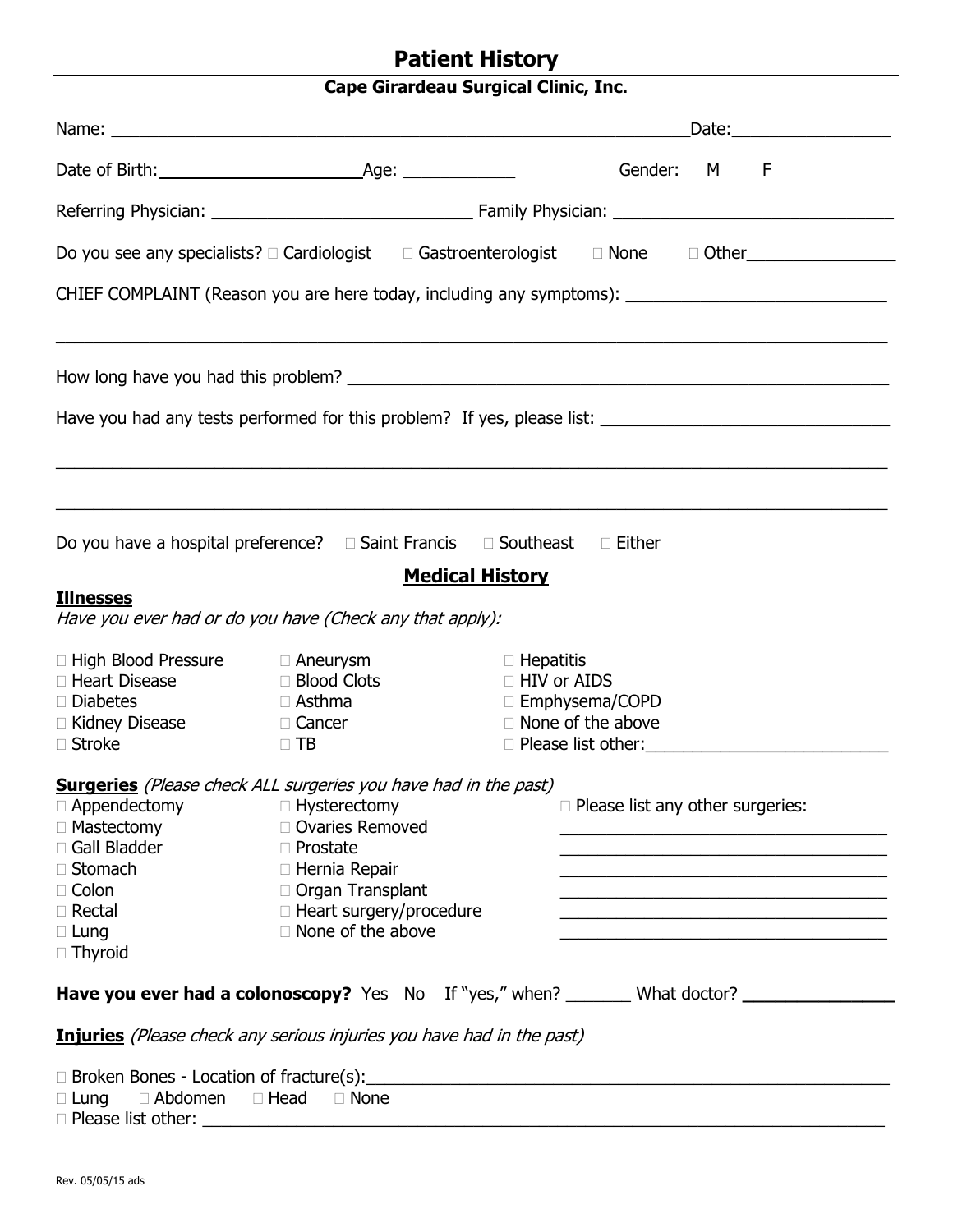# **Patient History**

# **Cape Girardeau Surgical Clinic, Inc.**

|                                                                                                                                           |                                                                                                                                                                                                                                    | Gender: M F                                                                                                                                                       |
|-------------------------------------------------------------------------------------------------------------------------------------------|------------------------------------------------------------------------------------------------------------------------------------------------------------------------------------------------------------------------------------|-------------------------------------------------------------------------------------------------------------------------------------------------------------------|
|                                                                                                                                           |                                                                                                                                                                                                                                    |                                                                                                                                                                   |
|                                                                                                                                           |                                                                                                                                                                                                                                    | Do you see any specialists? □ Cardiologist □ Gastroenterologist □ None □ Other                                                                                    |
|                                                                                                                                           |                                                                                                                                                                                                                                    | CHIEF COMPLAINT (Reason you are here today, including any symptoms): _______________________________                                                              |
|                                                                                                                                           |                                                                                                                                                                                                                                    |                                                                                                                                                                   |
|                                                                                                                                           |                                                                                                                                                                                                                                    |                                                                                                                                                                   |
|                                                                                                                                           | Do you have a hospital preference? $\Box$ Saint Francis $\Box$ Southeast                                                                                                                                                           | $\Box$ Either                                                                                                                                                     |
| <b>Illnesses</b>                                                                                                                          | Have you ever had or do you have (Check any that apply):                                                                                                                                                                           | <b>Medical History</b>                                                                                                                                            |
| $\Box$ High Blood Pressure $\Box$ Aneurysm<br>□ Heart Disease<br>$\Box$ Diabetes<br>$\Box$ Kidney Disease<br>$\Box$ Stroke                | □ Blood Clots<br>$\Box$ Asthma<br>□ Cancer<br>$\Box$ TB                                                                                                                                                                            | $\Box$ Hepatitis<br>□ HIV or AIDS<br>□ Emphysema/COPD<br>$\Box$ None of the above                                                                                 |
| $\Box$ Appendectomy<br>□ Mastectomy<br>□ Gall Bladder<br>$\Box$ Stomach<br>$\Box$ Colon<br>$\Box$ Rectal<br>$\Box$ Lung<br>$\Box$ Thyroid | <b>Surgeries</b> (Please check ALL surgeries you have had in the past)<br>$\Box$ Hysterectomy<br>□ Ovaries Removed<br>□ Prostate<br>□ Hernia Repair<br>□ Organ Transplant<br>□ Heart surgery/procedure<br>$\Box$ None of the above | $\Box$ Please list any other surgeries:<br><u> 1989 - Johann John Stein, marwolaeth a bhannaich an t-Amhair an t-Amhair an t-Amhair an t-Amhair an t-Amhair a</u> |
|                                                                                                                                           |                                                                                                                                                                                                                                    | <b>Have you ever had a colonoscopy?</b> Yes No If "yes," when? ________ What doctor?                                                                              |
|                                                                                                                                           | <b>Injuries</b> (Please check any serious injuries you have had in the past)                                                                                                                                                       |                                                                                                                                                                   |
| $\Box$ Lung $\Box$ Abdomen $\Box$ Head $\Box$ None<br>$\Box$ Please list other:                                                           |                                                                                                                                                                                                                                    | □ Broken Bones - Location of fracture(s):<br>□ Broken Bones - Location of fracture(s):                                                                            |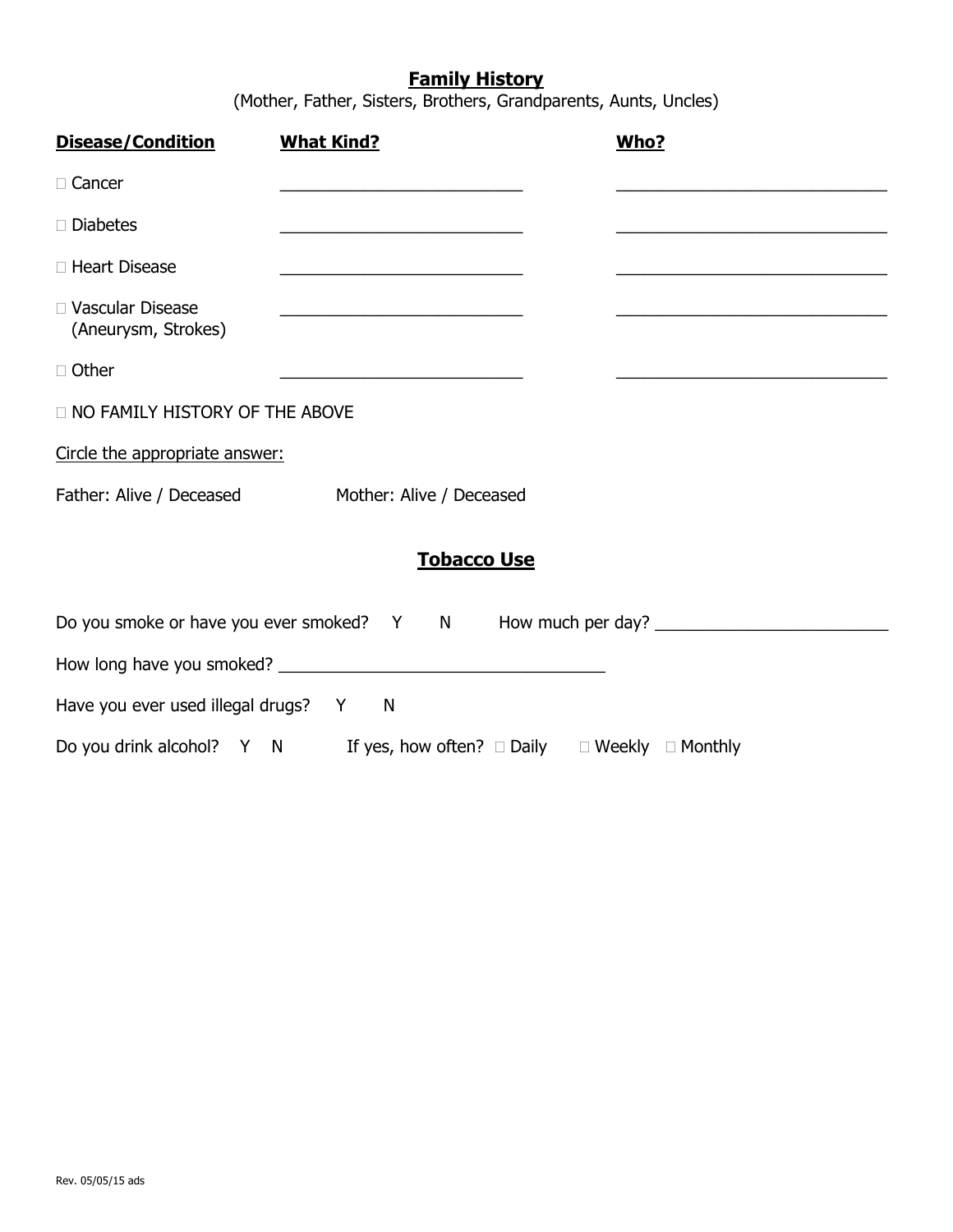# **Family History**

(Mother, Father, Sisters, Brothers, Grandparents, Aunts, Uncles)

| <b>Disease/Condition</b>                  | <b>What Kind?</b>                                                                                                     | Who? |
|-------------------------------------------|-----------------------------------------------------------------------------------------------------------------------|------|
| □ Cancer                                  | <u> 1989 - Johann Barbara, martxa alemaniar a</u>                                                                     |      |
| $\Box$ Diabetes                           |                                                                                                                       |      |
| □ Heart Disease                           |                                                                                                                       |      |
| □ Vascular Disease<br>(Aneurysm, Strokes) |                                                                                                                       |      |
| □ Other                                   | <u> 1989 - Johann Harry Harry Harry Harry Harry Harry Harry Harry Harry Harry Harry Harry Harry Harry Harry Harry</u> |      |
| <b>NO FAMILY HISTORY OF THE ABOVE</b>     |                                                                                                                       |      |
| Circle the appropriate answer:            |                                                                                                                       |      |
|                                           | Father: Alive / Deceased Mother: Alive / Deceased                                                                     |      |
|                                           | <b>Tobacco Use</b>                                                                                                    |      |
|                                           | Do you smoke or have you ever smoked? Y N How much per day?                                                           |      |
|                                           |                                                                                                                       |      |
| Have you ever used illegal drugs? Y N     |                                                                                                                       |      |
|                                           | Do you drink alcohol? Y N If yes, how often? $\Box$ Daily $\Box$ Weekly $\Box$ Monthly                                |      |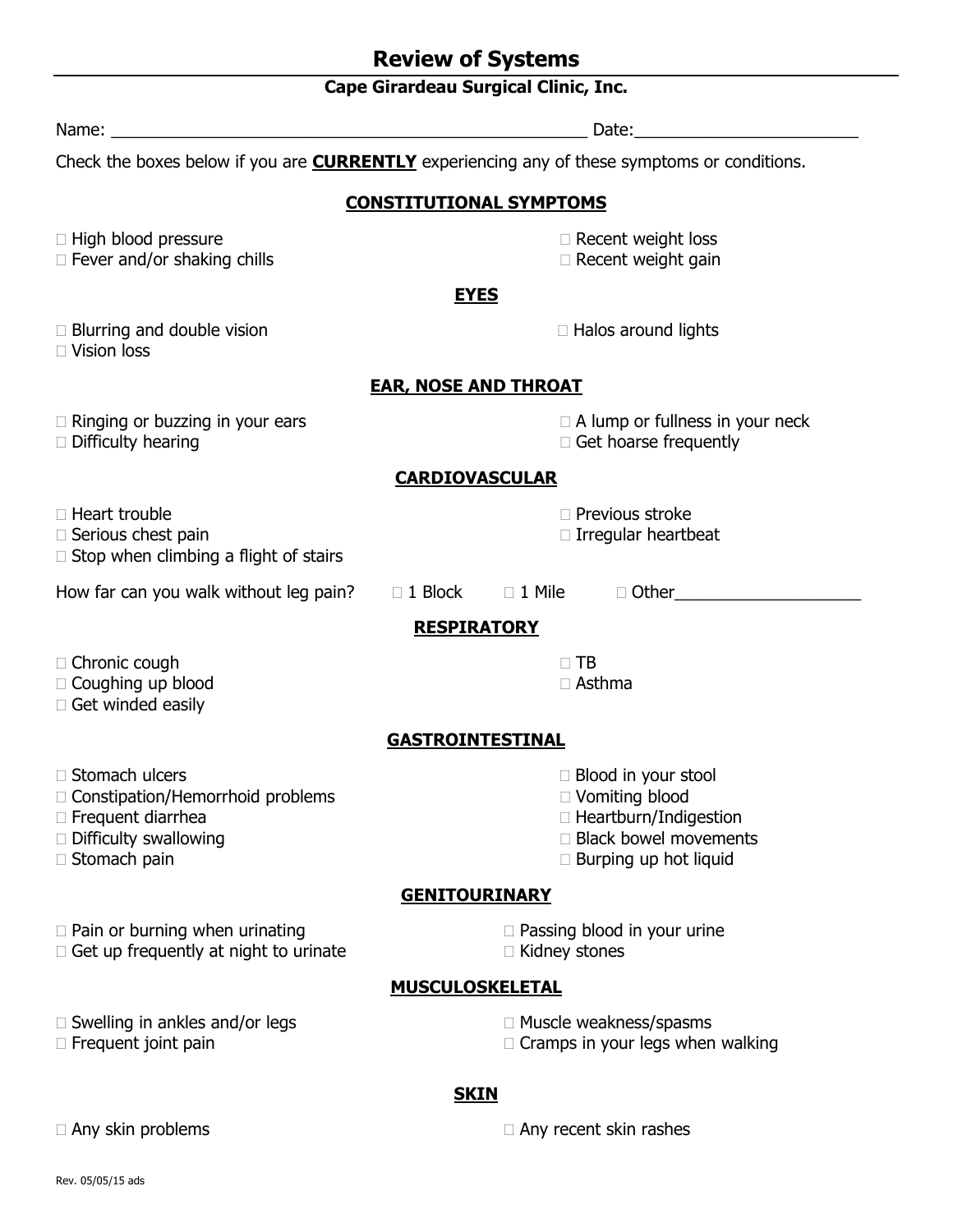# **Cape Girardeau Surgical Clinic, Inc.**

| Name:<br><u> 1980 - Jan Barbara Barat, martin da basar da basar da basar da basar da basar da basar da basar da basar da b</u>                      | Date:                                                                                                                                          |  |  |  |  |
|-----------------------------------------------------------------------------------------------------------------------------------------------------|------------------------------------------------------------------------------------------------------------------------------------------------|--|--|--|--|
|                                                                                                                                                     | Check the boxes below if you are <b>CURRENTLY</b> experiencing any of these symptoms or conditions.                                            |  |  |  |  |
| <b>CONSTITUTIONAL SYMPTOMS</b>                                                                                                                      |                                                                                                                                                |  |  |  |  |
| □ High blood pressure<br>$\Box$ Fever and/or shaking chills                                                                                         | $\Box$ Recent weight loss<br>□ Recent weight gain                                                                                              |  |  |  |  |
|                                                                                                                                                     | <b>EYES</b>                                                                                                                                    |  |  |  |  |
| $\Box$ Blurring and double vision<br>$\Box$ Vision loss                                                                                             | $\Box$ Halos around lights                                                                                                                     |  |  |  |  |
| <b>EAR, NOSE AND THROAT</b>                                                                                                                         |                                                                                                                                                |  |  |  |  |
| $\Box$ Ringing or buzzing in your ears<br>$\Box$ Difficulty hearing                                                                                 | $\Box$ A lump or fullness in your neck<br>$\Box$ Get hoarse frequently                                                                         |  |  |  |  |
| <b>CARDIOVASCULAR</b>                                                                                                                               |                                                                                                                                                |  |  |  |  |
| □ Heart trouble<br>□ Serious chest pain<br>$\Box$ Stop when climbing a flight of stairs                                                             | $\Box$ Previous stroke<br>$\Box$ Irregular heartbeat                                                                                           |  |  |  |  |
| How far can you walk without leg pain?                                                                                                              | $\Box$ 1 Block<br>$\square$ 1 Mile<br>□ Other                                                                                                  |  |  |  |  |
|                                                                                                                                                     | <b>RESPIRATORY</b>                                                                                                                             |  |  |  |  |
| □ Chronic cough<br>□ Coughing up blood<br>□ Get winded easily                                                                                       | $\Box$ TB<br>$\Box$ Asthma                                                                                                                     |  |  |  |  |
|                                                                                                                                                     | <b>GASTROINTESTINAL</b>                                                                                                                        |  |  |  |  |
| □ Stomach ulcers<br>□ Constipation/Hemorrhoid problems<br>□ Frequent diarrhea<br>□ Difficulty swallowing<br>□ Stomach pain                          | $\Box$ Blood in your stool<br>$\Box$ Vomiting blood<br>$\Box$ Heartburn/Indigestion<br>□ Black bowel movements<br>$\Box$ Burping up hot liquid |  |  |  |  |
| <b>GENITOURINARY</b>                                                                                                                                |                                                                                                                                                |  |  |  |  |
| $\Box$ Pain or burning when urinating<br>$\Box$ Passing blood in your urine<br>$\Box$ Get up frequently at night to urinate<br>$\Box$ Kidney stones |                                                                                                                                                |  |  |  |  |
| <b>MUSCULOSKELETAL</b>                                                                                                                              |                                                                                                                                                |  |  |  |  |
| $\Box$ Swelling in ankles and/or legs<br>$\Box$ Frequent joint pain                                                                                 | □ Muscle weakness/spasms<br>$\Box$ Cramps in your legs when walking                                                                            |  |  |  |  |
| <b>SKIN</b>                                                                                                                                         |                                                                                                                                                |  |  |  |  |
| $\Box$ Any skin problems                                                                                                                            | $\Box$ Any recent skin rashes                                                                                                                  |  |  |  |  |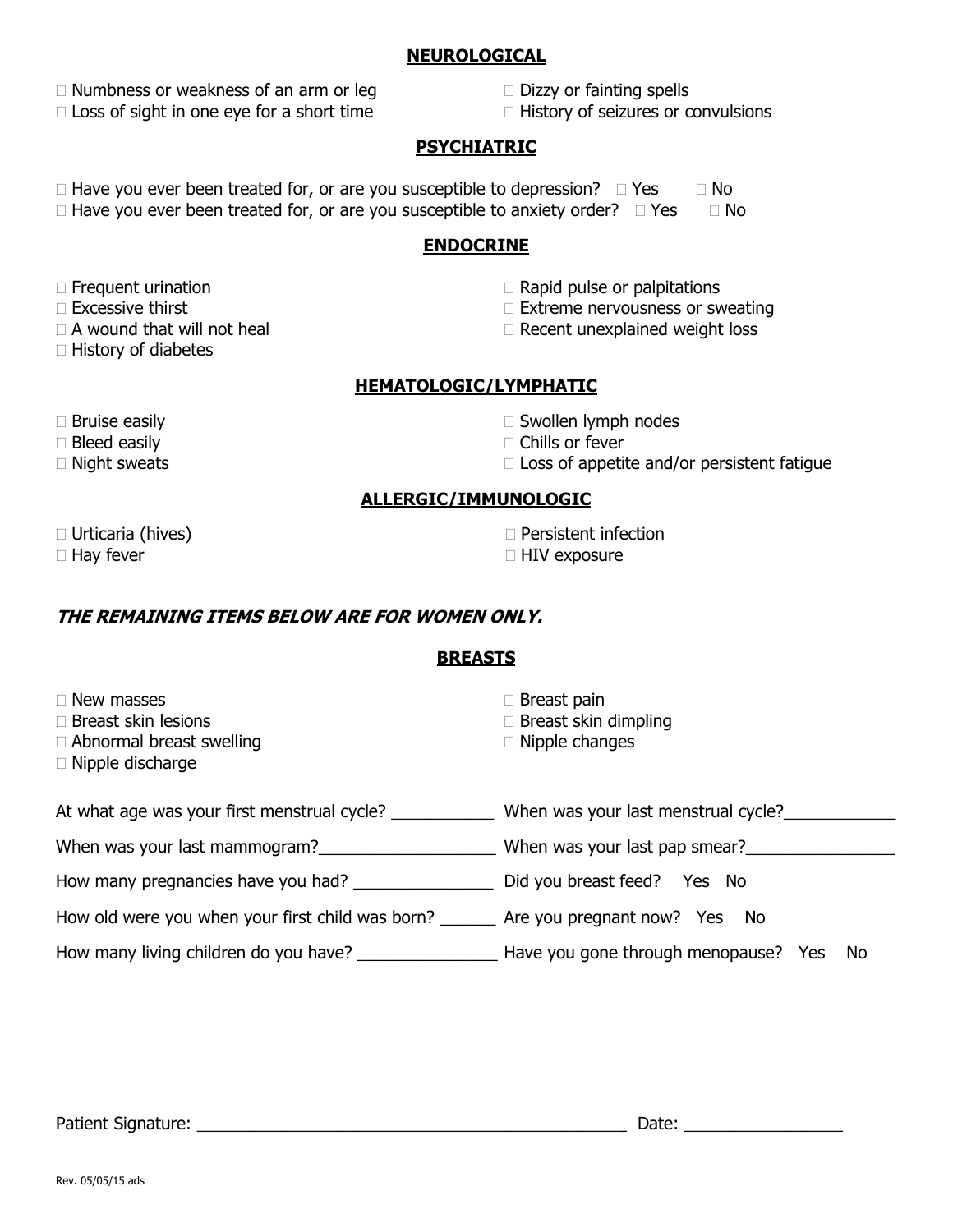#### **NEUROLOGICAL**

 $\Box$  Numbness or weakness of an arm or leg  $\Box$  Dizzy or fainting spells  $\Box$  Loss of sight in one eye for a short time  $\Box$  History of seizures or convulsions

#### **PSYCHIATRIC**

 $\Box$  Have you ever been treated for, or are you susceptible to depression?  $\Box$  Yes  $\Box$  No  $\Box$  Have you ever been treated for, or are you susceptible to anxiety order?  $\Box$  Yes  $\Box$  No

#### **ENDOCRINE**

- 
- 
- 
- $\Box$  History of diabetes
- $\Box$  Frequent urination  $\Box$  Rapid pulse or palpitations
- $\Box$  Excessive thirst  $\Box$  Extreme nervousness or sweating
- $\Box$  A wound that will not heal  $\Box$  Recent unexplained weight loss

### **HEMATOLOGIC/LYMPHATIC**

- 
- 
- 
- $\Box$  Bruise easily  $\Box$  Swollen lymph nodes
- $\Box$  Bleed easily  $\Box$  Chills or fever
- $\Box$  Night sweats  $\Box$  Loss of appetite and/or persistent fatigue

### **ALLERGIC/IMMUNOLOGIC**

- 
- □ Urticaria (hives) Persistent infection
- $\Box$  Hay fever  $\Box$  HIV exposure

## **THE REMAINING ITEMS BELOW ARE FOR WOMEN ONLY.**

# **BREASTS**

- $\Box$  Breast skin lesions  $\Box$  Breast skin dimpling
- $\Box$  Abnormal breast swelling  $\Box$  Nipple changes
- Nipple discharge
- $\Box$  Breast pain
- 
- 

| At what age was your first menstrual cycle?      | When was your last menstrual cycle?        |
|--------------------------------------------------|--------------------------------------------|
| When was your last mammogram?                    | When was your last pap smear?              |
| How many pregnancies have you had?               | Did you breast feed? Yes No                |
| How old were you when your first child was born? | Are you pregnant now? Yes No               |
| How many living children do you have?            | Have you gone through menopause? Yes<br>Νo |

Patient Signature: \_\_\_\_\_\_\_\_\_\_\_\_\_\_\_\_\_\_\_\_\_\_\_\_\_\_\_\_\_\_\_\_\_\_\_\_\_\_\_\_\_\_\_\_\_\_ Date: \_\_\_\_\_\_\_\_\_\_\_\_\_\_\_\_\_